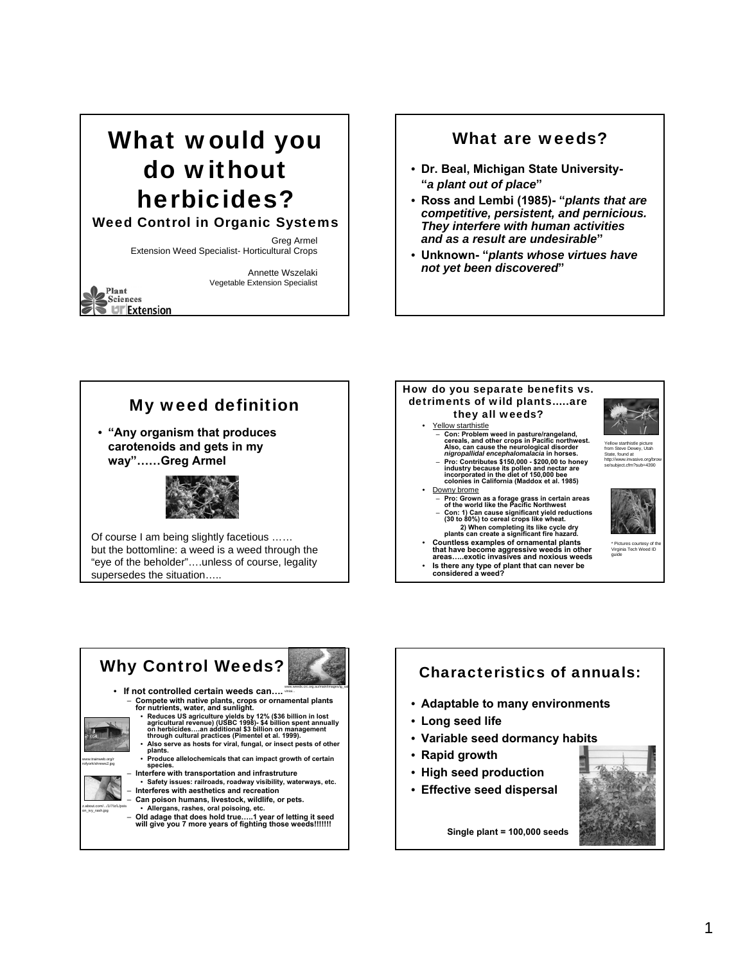## What would you do without herbicides?

#### Weed Control in Organic Systems

My weed definition

• **"Any organism that produces carotenoids and gets in my way"……Greg Armel**

Of course I am being slightly facetious …… but the bottomline: a weed is a weed through the "eye of the beholder"….unless of course, legality

supersedes the situation…..

Greg Armel Extension Weed Specialist- Horticultural Crops

> Annette Wszelaki Vegetable Extension Specialist

Plant Sciences

**UF** Extension

#### What are weeds?

- **Dr. Beal, Michigan State University- "***a plant out of place***"**
- **Ross and Lembi (1985)- "***plants that are competitive, persistent, and pernicious. They interfere with human activities and as a result are undesirable***"**
- **Unknown- "***plants whose virtues have not yet been discovered***"**





- **Is there any type of plant that can never be considered a weed?**
- 





## Characteristics of annuals: • **Adaptable to many environments** • **Long seed life**

- **Variable seed dormancy habits**
- **Rapid growth**
- **High seed production**
- **Effective seed dispersal**



**Single plant = 100,000 seeds**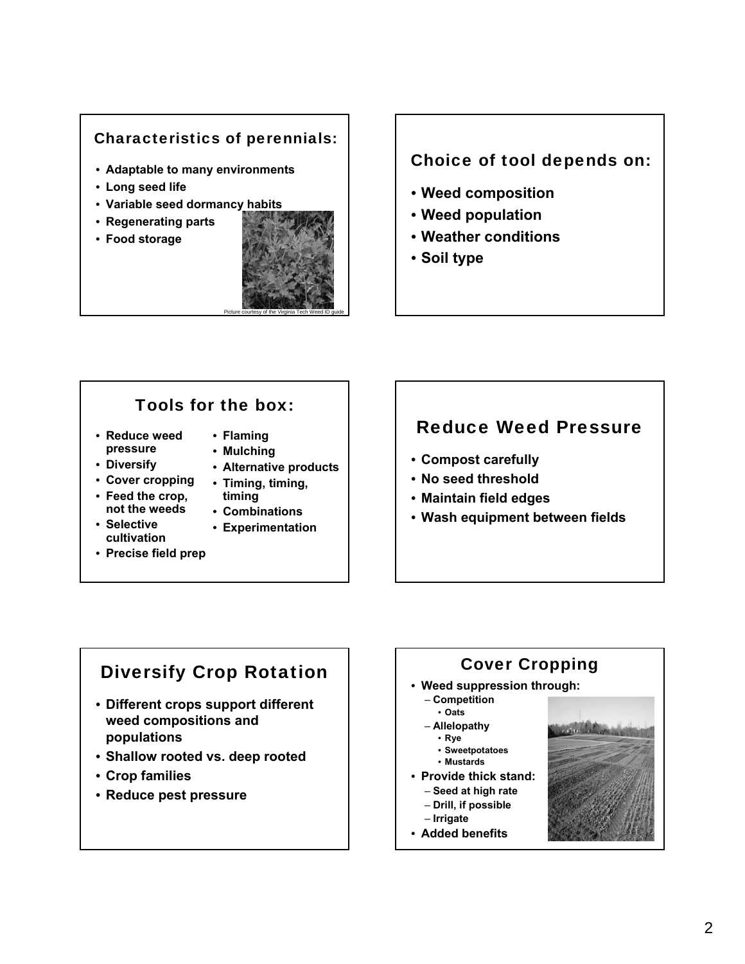#### Characteristics of perennials:

- **Adaptable to many environments**
- **Long seed life**
- **Variable seed dormancy habits**
- **Regenerating parts**
- **Food storage**



#### Choice of tool depends on:

- **Weed composition**
- **Weed population**
- **Weather conditions**
- **Soil type**

#### Tools for the box:

- **Reduce weed pressure**
- **Flaming**
- **Mulching** • **Alternative products**
- **Diversify**
- **Cover cropping** • **Timing, timing,**
- **Feed the crop, not the weeds** • **Selective**
- **timing**
- 
- 
- **Precise field prep**
- **Combinations**
- **Experimentation**
- **cultivation**

### Reduce Weed Pressure

- **Compost carefully**
- **No seed threshold**
- **Maintain field edges**
- **Wash equipment between fields**

### Diversify Crop Rotation

- **Different crops support different weed compositions and populations**
- **Shallow rooted vs. deep rooted**
- **Crop families**
- **Reduce pest pressure**

# Cover Cropping

#### • **Weed suppression through:**

- **Competition**
- **Oats**
- **Allelopathy**  • **Rye**
	- **Sweetpotatoes**
	- **Mustards**
- **Provide thick stand:**
	- **Seed at high rate** – **Drill, if possible**
	- **Irrigate**
- **Added benefits**

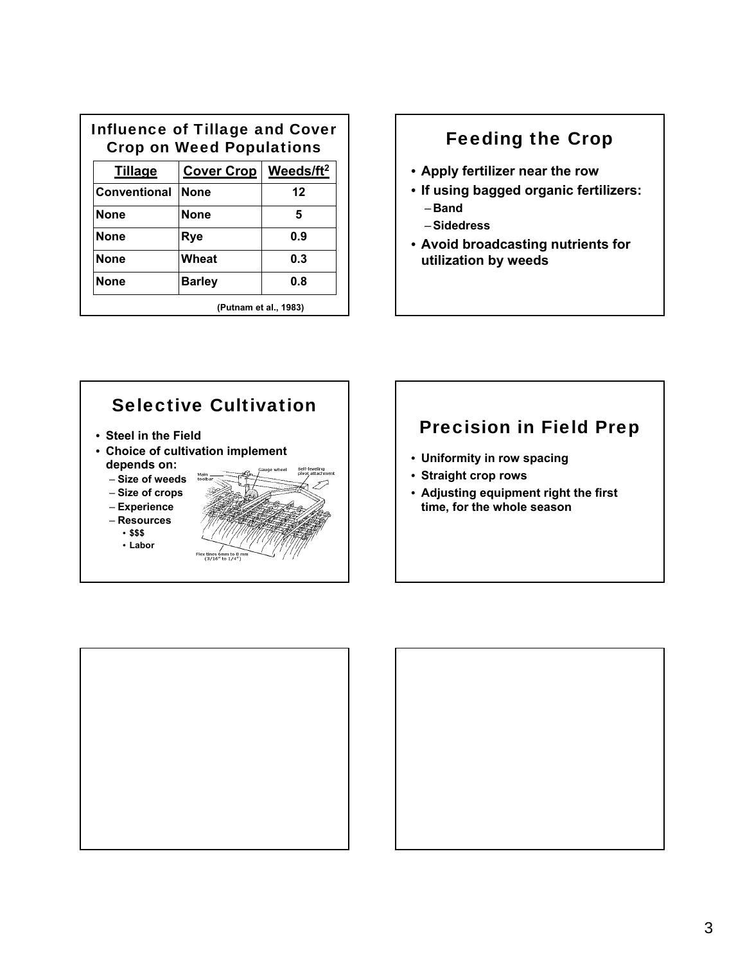| Influence of Tillage and Cover<br><b>Crop on Weed Populations</b> |                                    |     |
|-------------------------------------------------------------------|------------------------------------|-----|
| <b>Tillage</b>                                                    | Cover Crop   Weeds/ft <sup>2</sup> |     |
| Conventional                                                      | <b>None</b>                        | 12  |
| <b>None</b>                                                       | <b>None</b>                        | 5   |
| <b>None</b>                                                       | Rye                                | ი 9 |
| <b>None</b>                                                       | Wheat                              | 0.3 |
| <b>None</b>                                                       | <b>Barley</b>                      | 0.8 |
|                                                                   | (Putnam et al., 1983)              |     |

### Feeding the Crop

- **Apply fertilizer near the row**
- **If using bagged organic fertilizers:** – **Band**
	- –**Sidedress**
- **Avoid broadcasting nutrients for utilization by weeds**



## Precision in Field Prep

- **Uniformity in row spacing**
- **Straight crop rows**
- **Adjusting equipment right the first time, for the whole season**



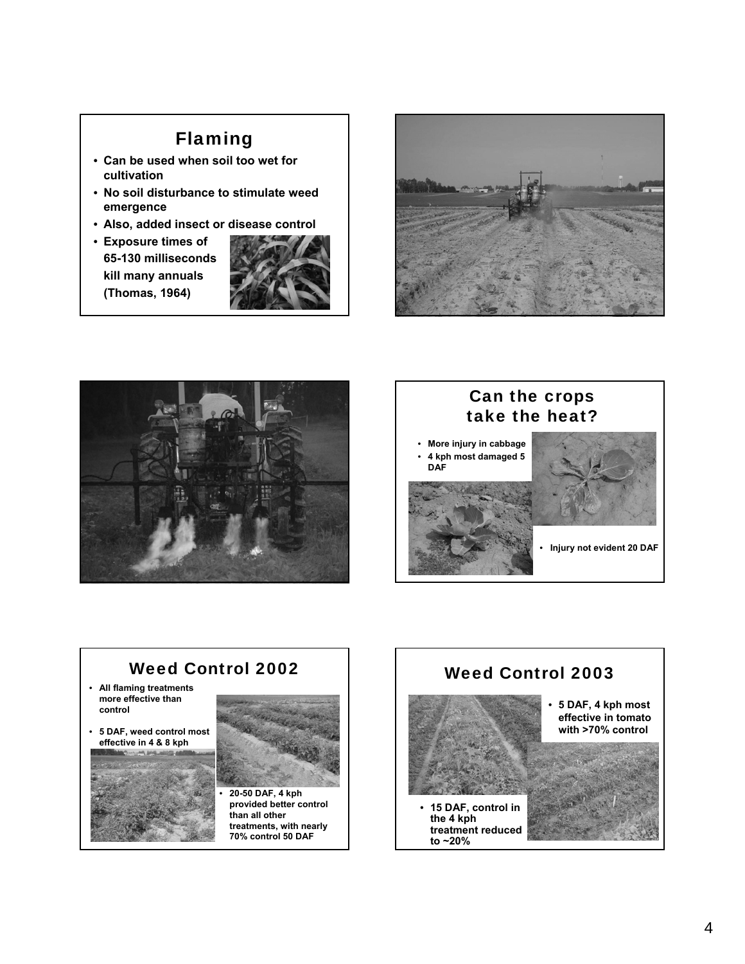## Flaming

- **Can be used when soil too wet for cultivation**
- **No soil disturbance to stimulate weed emergence**
- **Also, added insect or disease control**
- **Exposure times of 65-130 milliseconds kill many annuals (Thomas, 1964)**









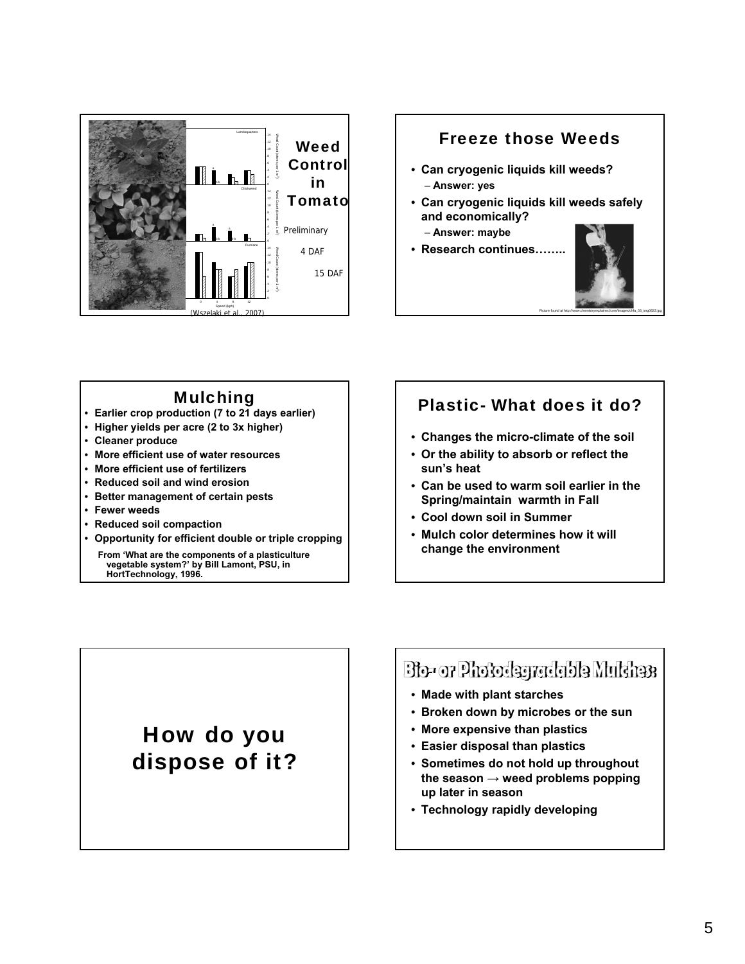

## Freeze those Weeds • **Can cryogenic liquids kill weeds?** – **Answer: yes** • **Can cryogenic liquids kill weeds safely and economically?** – **Answer: maybe** • **Research continues……..**

#### Mulching

- **Earlier crop production (7 to 21 days earlier)**
- **Higher yields per acre (2 to 3x higher)**
- **Cleaner produce**
- **More efficient use of water resources**
- **More efficient use of fertilizers**
- **Reduced soil and wind erosion**
- **Better management of certain pests**
- **Fewer weeds**
- **Reduced soil compaction**
- **Opportunity for efficient double or triple cropping**

**From 'What are the components of a plasticulture vegetable system?' by Bill Lamont, PSU, in HortTechnology, 1996.** 

#### Plastic- What does it do?

Picture found at http://www.chemistryexplained.com/images/chfa\_03\_img0622.jpg

- **Changes the micro-climate of the soil**
- **Or the ability to absorb or reflect the sun's heat**
- **Can be used to warm soil earlier in the Spring/maintain warmth in Fall**
- **Cool down soil in Summer**
- **Mulch color determines how it will change the environment**

## How do you dispose of it?

## Bio- or Photodegradable Multhess

- **Made with plant starches**
- **Broken down by microbes or the sun**
- **More expensive than plastics**
- **Easier disposal than plastics**
- **Sometimes do not hold up throughout the season → weed problems popping up later in season**
- **Technology rapidly developing**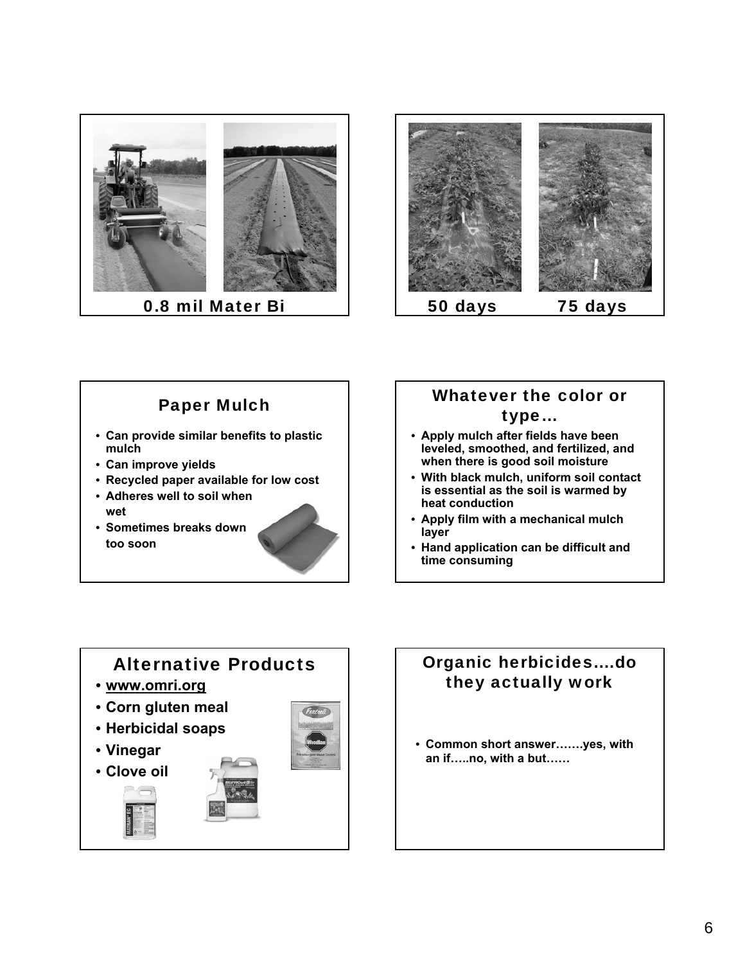



## Paper Mulch

- **Can provide similar benefits to plastic mulch**
- **Can improve yields**
- **Recycled paper available for low cost**
- **Adheres well to soil when wet**
- **Sometimes breaks down too soon**

![](_page_5_Picture_8.jpeg)

#### Whatever the color or type…

- **Apply mulch after fields have been leveled, smoothed, and fertilized, and when there is good soil moisture**
- **With black mulch, uniform soil contact is essential as the soil is warmed by heat conduction**
- **Apply film with a mechanical mulch layer**
- **Hand application can be difficult and time consuming**

## Alternative Products

- **www.omri.org**
- **Corn gluten meal**
- **Herbicidal soaps**
- **Vinegar**
- **Clove oil**

![](_page_5_Picture_20.jpeg)

### Organic herbicides….do they actually work

• **Common short answer…….yes, with an if…..no, with a but……**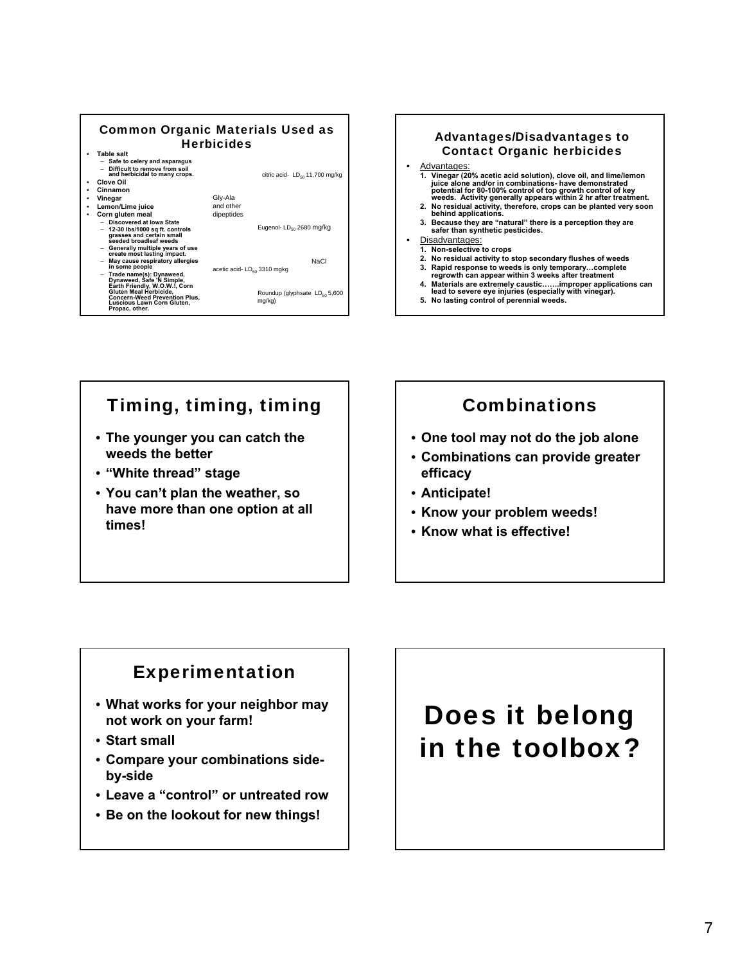![](_page_6_Figure_0.jpeg)

![](_page_6_Figure_1.jpeg)

## Timing, timing, timing

- **The younger you can catch the weeds the better**
- **"White thread" stage**
- **You can't plan the weather, so have more than one option at all times!**

### Combinations

- **One tool may not do the job alone**
- **Combinations can provide greater efficacy**
- **Anticipate!**
- **Know your problem weeds!**
- **Know what is effective!**

### Experimentation

- **What works for your neighbor may not work on your farm!**
- **Start small**
- **Compare your combinations sideby-side**
- **Leave a "control" or untreated row**
- **Be on the lookout for new things!**

## Does it belong in the toolbox?